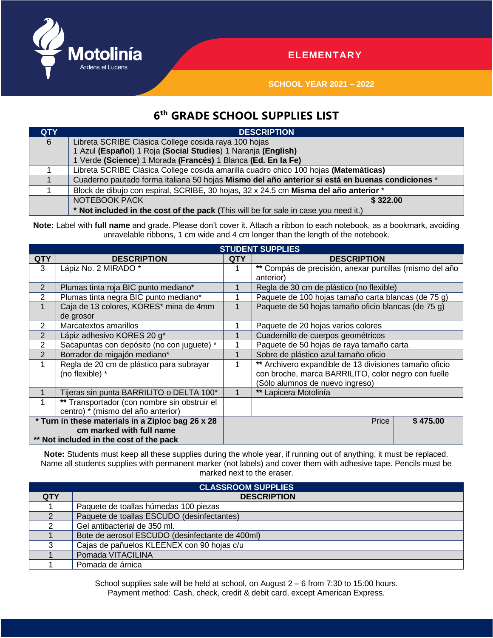

## **ELEMENTARY**

**SCHOOL YEAR 2021 – 2022**

## **6 th GRADE SCHOOL SUPPLIES LIST**

| <b>QTY</b> | <b>DESCRIPTION</b>                                                                              |  |  |  |  |  |
|------------|-------------------------------------------------------------------------------------------------|--|--|--|--|--|
| 6          | Libreta SCRIBE Clásica College cosida raya 100 hojas                                            |  |  |  |  |  |
|            | 1 Azul (Español) 1 Roja (Social Studies) 1 Naranja (English)                                    |  |  |  |  |  |
|            | 1 Verde (Science) 1 Morada (Francés) 1 Blanca (Ed. En la Fe)                                    |  |  |  |  |  |
|            | Libreta SCRIBE Clásica College cosida amarilla cuadro chico 100 hojas (Matemáticas)             |  |  |  |  |  |
|            | Cuaderno pautado forma italiana 50 hojas Mismo del año anterior si está en buenas condiciones * |  |  |  |  |  |
|            | Block de dibujo con espiral, SCRIBE, 30 hojas, 32 x 24.5 cm Misma del año anterior *            |  |  |  |  |  |
|            | NOTEBOOK PACK<br>\$322.00                                                                       |  |  |  |  |  |
|            | * Not included in the cost of the pack (This will be for sale in case you need it.)             |  |  |  |  |  |

Note: Label with full name and grade. Please don't cover it. Attach a ribbon to each notebook, as a bookmark, avoiding unravelable ribbons, 1 cm wide and 4 cm longer than the length of the notebook.

| <b>STUDENT SUPPLIES</b>                           |                                              |            |                                                         |  |  |  |  |
|---------------------------------------------------|----------------------------------------------|------------|---------------------------------------------------------|--|--|--|--|
| <b>QTY</b>                                        | <b>DESCRIPTION</b>                           | <b>QTY</b> | <b>DESCRIPTION</b>                                      |  |  |  |  |
| 3                                                 | Lápiz No. 2 MIRADO *                         |            | ** Compás de precisión, anexar puntillas (mismo del año |  |  |  |  |
|                                                   |                                              |            | anterior)                                               |  |  |  |  |
| 2                                                 | Plumas tinta roja BIC punto mediano*         |            | Regla de 30 cm de plástico (no flexible)                |  |  |  |  |
| 2                                                 | Plumas tinta negra BIC punto mediano*        |            | Paquete de 100 hojas tamaño carta blancas (de 75 g)     |  |  |  |  |
| $\mathbf 1$                                       | Caja de 13 colores, KORES* mina de 4mm       |            | Paquete de 50 hojas tamaño oficio blancas (de 75 g)     |  |  |  |  |
|                                                   | de grosor                                    |            |                                                         |  |  |  |  |
| 2                                                 | Marcatextos amarillos                        |            | Paquete de 20 hojas varios colores                      |  |  |  |  |
| 2                                                 | Lápiz adhesivo KORES 20 g*                   |            | Cuadernillo de cuerpos geométricos                      |  |  |  |  |
| 2                                                 | Sacapuntas con depósito (no con juguete) *   |            | Paquete de 50 hojas de raya tamaño carta                |  |  |  |  |
| 2                                                 | Borrador de migajón mediano*                 |            | Sobre de plástico azul tamaño oficio                    |  |  |  |  |
|                                                   | Regla de 20 cm de plástico para subrayar     |            | ** Archivero expandible de 13 divisiones tamaño oficio  |  |  |  |  |
|                                                   | (no flexible) *                              |            | con broche, marca BARRILITO, color negro con fuelle     |  |  |  |  |
|                                                   |                                              |            | (Sólo alumnos de nuevo ingreso)                         |  |  |  |  |
|                                                   | Tijeras sin punta BARRILITO o DELTA 100*     |            | ** Lapicera Motolinía                                   |  |  |  |  |
|                                                   | ** Transportador (con nombre sin obstruir el |            |                                                         |  |  |  |  |
|                                                   | centro) * (mismo del año anterior)           |            |                                                         |  |  |  |  |
| * Turn in these materials in a Ziploc bag 26 x 28 |                                              |            | Price<br>\$475.00                                       |  |  |  |  |
|                                                   | cm marked with full name                     |            |                                                         |  |  |  |  |
| ** Not included in the cost of the pack           |                                              |            |                                                         |  |  |  |  |

**Note:** Students must keep all these supplies during the whole year, if running out of anything, it must be replaced. Name all students supplies with permanent marker (not labels) and cover them with adhesive tape. Pencils must be marked next to the eraser.

| <b>CLASSROOM SUPPLIES</b> |                                                 |  |  |  |  |  |
|---------------------------|-------------------------------------------------|--|--|--|--|--|
| <b>QTY</b>                | <b>DESCRIPTION</b>                              |  |  |  |  |  |
|                           | Paquete de toallas húmedas 100 piezas           |  |  |  |  |  |
|                           | Paquete de toallas ESCUDO (desinfectantes)      |  |  |  |  |  |
|                           | Gel antibacterial de 350 ml.                    |  |  |  |  |  |
|                           | Bote de aerosol ESCUDO (desinfectante de 400ml) |  |  |  |  |  |
|                           | Cajas de pañuelos KLEENEX con 90 hojas c/u      |  |  |  |  |  |
|                           | Pomada VITACILINA                               |  |  |  |  |  |
|                           | Pomada de árnica                                |  |  |  |  |  |

School supplies sale will be held at school, on August 2 – 6 from 7:30 to 15:00 hours. Payment method: Cash, check, credit & debit card, except American Express.